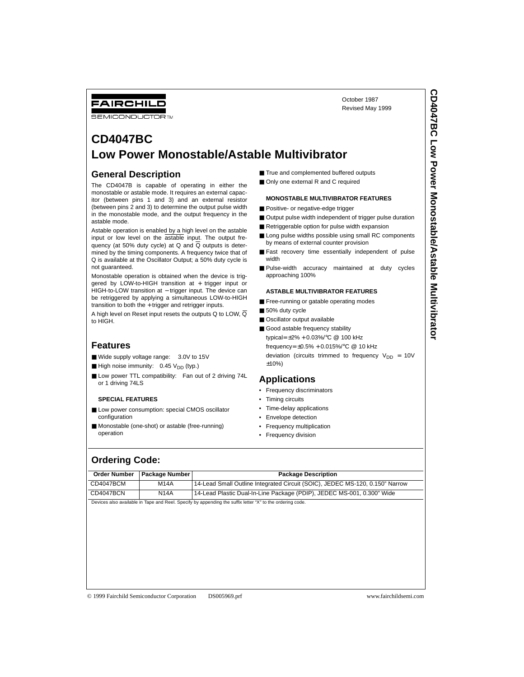# FAIRCHILD

**SEMICONDUCTOR IM** 

# **CD4047BC Low Power Monostable/Astable Multivibrator**

## **General Description**

The CD4047B is capable of operating in either the monostable or astable mode. It requires an external capacitor (between pins 1 and 3) and an external resistor (between pins 2 and 3) to determine the output pulse width in the monostable mode, and the output frequency in the astable mode.

Astable operation is enabled by a high level on the astable input or low level on the astable input. The output frequency (at 50% duty cycle) at  $Q$  and  $\overline{Q}$  outputs is determined by the timing components. A frequency twice that of Q is available at the Oscillator Output; a 50% duty cycle is not guaranteed.

Monostable operation is obtained when the device is triggered by LOW-to-HIGH transition at + trigger input or HIGH-to-LOW transition at – trigger input. The device can be retriggered by applying a simultaneous LOW-to-HIGH transition to both the + trigger and retrigger inputs.

A high level on Reset input resets the outputs Q to LOW,  $\overline{Q}$ to HIGH.

## **Features**

- Wide supply voltage range: 3.0V to 15V
- $\blacksquare$  High noise immunity: 0.45  $V_{DD}$  (typ.)
- Low power TTL compatibility: Fan out of 2 driving 74L or 1 driving 74LS

#### **SPECIAL FEATURES**

- Low power consumption: special CMOS oscillator configuration
- Monostable (one-shot) or astable (free-running) operation
- True and complemented buffered outputs
- Only one external R and C required

#### **MONOSTABLE MULTIVIBRATOR FEATURES**

- Positive- or negative-edge trigger
- Output pulse width independent of trigger pulse duration

October 1987 Revised May 1999

- Retriggerable option for pulse width expansion
- Long pulse widths possible using small RC components by means of external counter provision
- Fast recovery time essentially independent of pulse width
- Pulse-width accuracy maintained at duty cycles approaching 100%

#### **ASTABLE MULTIVIBRATOR FEATURES**

- Free-running or gatable operating modes
- 50% duty cycle
- Oscillator output available
- Good astable frequency stability typical= ±2% + 0.03%/°C @ 100 kHz frequency= ±0.5% + 0.015%/°C @ 10 kHz deviation (circuits trimmed to frequency  $V_{DD} = 10V$ ±10%)

### **Applications**

- Frequency discriminators
- Timing circuits
- Time-delay applications
- Envelope detection
- Frequency multiplication
- Frequency division

## **Ordering Code:**

| <b>Order Number</b> | Package Number | <b>Package Description</b>                                                                                |
|---------------------|----------------|-----------------------------------------------------------------------------------------------------------|
| CD4047BCM           | <b>M14A</b>    | 14-Lead Small Outline Integrated Circuit (SOIC), JEDEC MS-120, 0.150" Narrow                              |
| CD4047BCN           | <b>N14A</b>    | 14-Lead Plastic Dual-In-Line Package (PDIP), JEDEC MS-001, 0.300" Wide                                    |
|                     |                | Devices also available in Tape and Reel. Specify by appending the suffix letter "X" to the ordering code. |
|                     |                |                                                                                                           |
|                     |                |                                                                                                           |
|                     |                |                                                                                                           |
|                     |                |                                                                                                           |
|                     |                |                                                                                                           |
|                     |                |                                                                                                           |
|                     |                |                                                                                                           |
|                     |                |                                                                                                           |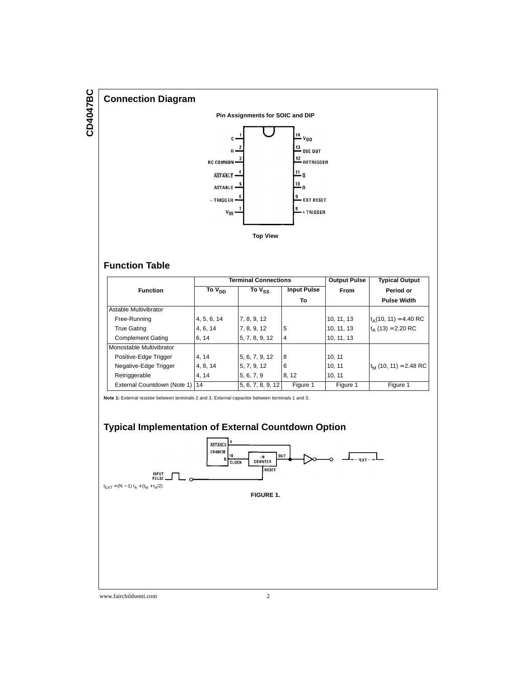

## **Function Table**

|                                  |                    | <b>Terminal Connections</b> |                    | <b>Output Pulse</b> | <b>Typical Output</b>    |
|----------------------------------|--------------------|-----------------------------|--------------------|---------------------|--------------------------|
| <b>Function</b>                  | To V <sub>DD</sub> | To V <sub>SS</sub>          | <b>Input Pulse</b> | <b>From</b>         | Period or                |
|                                  |                    |                             | To                 |                     | <b>Pulse Width</b>       |
| Astable Multivibrator            |                    |                             |                    |                     |                          |
| Free-Running                     | 4, 5, 6, 14        | 7, 8, 9, 12                 |                    | 10, 11, 13          | $t_A(10, 11) = 4.40$ RC  |
| <b>True Gating</b>               | 4, 6, 14           | 7, 8, 9, 12                 | 5                  | 10, 11, 13          | $t_A$ (13) = 2.20 RC     |
| <b>Complement Gating</b>         | 6, 14              | 5, 7, 8, 9, 12              | 4                  | 10, 11, 13          |                          |
| Monostable Multivibrator         |                    |                             |                    |                     |                          |
| Positive-Edge Trigger            | 4, 14              | 5, 6, 7, 9, 12              | 8                  | 10, 11              |                          |
| Negative-Edge Trigger            | 4, 8, 14           | 5, 7, 9, 12                 | 6                  | 10, 11              | $t_M$ (10, 11) = 2.48 RC |
| Retriggerable                    | 4.14               | 5, 6, 7, 9                  | 8.12               | 10, 11              |                          |
| External Countdown (Note 1)   14 |                    | 5, 6, 7, 8, 9, 12           | Figure 1           | Figure 1            | Figure 1                 |

**Note 1:** External resistor between terminals 2 and 3. External capacitor between terminals 1 and 3.

# **Typical Implementation of External Countdown Option**

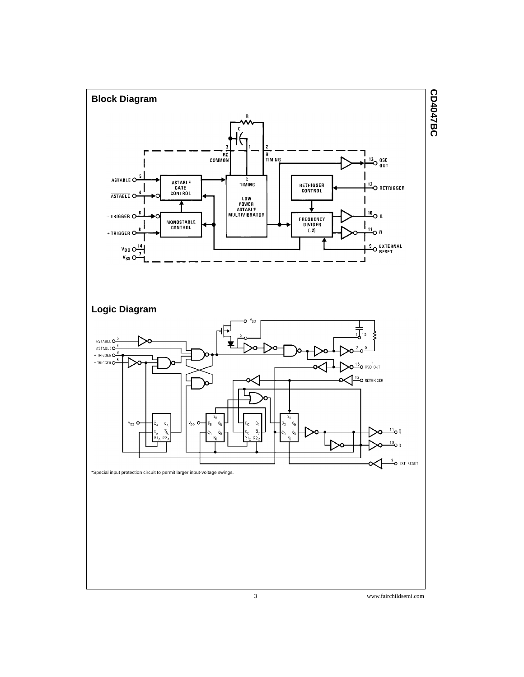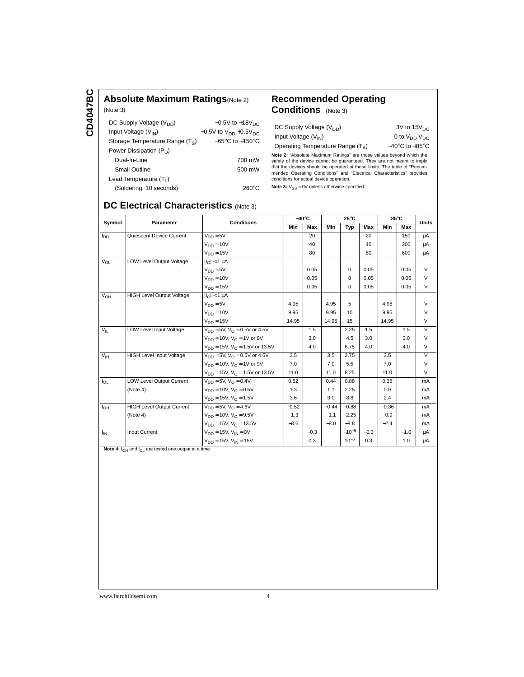CD4047BC **CD4047BC**

### **Absolute Maximum Ratings**(Note 2) (Note 3)

| DC Supply Voltage (V <sub>DD</sub> ) | $-0.5V$ to $+18V_{DC}$              |
|--------------------------------------|-------------------------------------|
| Input Voltage $(V_{IN})$             | $-0.5V$ to $V_{DD}$ +0.5 $V_{DC}$   |
| Storage Temperature Range $(T_S)$    | $-65^{\circ}$ C to $+150^{\circ}$ C |
| Power Dissipation $(P_D)$            |                                     |
| Dual-In-Line                         | 700 mW                              |
| Small Outline                        | 500 mW                              |
| Lead Temperature $(T_1)$             |                                     |
| (Soldering, 10 seconds)              | 260°C                               |

## **Recommended Operating Conditions** (Note 3)

| DC Supply Voltage (V <sub>DD</sub> ) | $3V$ to 15 $V_{\text{DC}}$         |
|--------------------------------------|------------------------------------|
| Input Voltage (V <sub>IN</sub> )     | 0 to $V_{DD}$ $V_{DC}$             |
| Operating Temperature Range $(T_A)$  | $-40^{\circ}$ C to $+85^{\circ}$ C |

**Note 2:** "Absolute Maximum Ratings" are those values beyond which the<br>safety of the device cannot be guaranteed. They are not meant to imply<br>that the devices should be operated at these limits. The table of "Recommended Operating Conditions" and "Electrical Characteristics" provides conditions for actual device operation.

**Note 3:**  $V_{SS} = 0V$  unless otherwise specified.

## **DC Electrical Characteristics** (Note 3)

| Symbol          | Parameter                        | <b>Conditions</b>                             | $-40^\circ C$ |        |         | $25^{\circ}$ C   |        | 85°C    |        | <b>Units</b>  |
|-----------------|----------------------------------|-----------------------------------------------|---------------|--------|---------|------------------|--------|---------|--------|---------------|
|                 |                                  |                                               | Min           | Max    | Min     | Typ              | Max    | Min     | Max    |               |
| $I_{DD}$        | Quiescent Device Current         | $V_{DD} = 5V$                                 |               | 20     |         |                  | 20     |         | 150    | μA            |
|                 |                                  | $V_{DD} = 10V$                                |               | 40     |         |                  | 40     |         | 300    | μA            |
|                 |                                  | $V_{DD} = 15V$                                |               | 80     |         |                  | 80     |         | 600    | μA            |
| $V_{OL}$        | LOW Level Output Voltage         | $ I_{\Omega}  < 1 \mu A$                      |               |        |         |                  |        |         |        |               |
|                 |                                  | $V_{DD} = 5V$                                 |               | 0.05   |         | $\Omega$         | 0.05   |         | 0.05   | $\vee$        |
|                 |                                  | $V_{DD} = 10V$                                |               | 0.05   |         | $\Omega$         | 0.05   |         | 0.05   | V             |
|                 |                                  | $V_{DD} = 15V$                                |               | 0.05   |         | $\Omega$         | 0.05   |         | 0.05   | V             |
| $V_{OH}$        | <b>HIGH Level Output Voltage</b> | $ I_{\Omega}  < 1 \mu A$                      |               |        |         |                  |        |         |        |               |
|                 |                                  | $V_{DD} = 5V$                                 | 4.95          |        | 4.95    | 5                |        | 4.95    |        | $\mathcal{U}$ |
|                 |                                  | $V_{DD} = 10V$                                | 9.95          |        | 9.95    | 10 <sup>10</sup> |        | 9.95    |        | $\vee$        |
|                 |                                  | $V_{DD} = 15V$                                | 14.95         |        | 14.95   | 15               |        | 14.95   |        | V             |
| $V_{\parallel}$ | LOW Level Input Voltage          | $V_{DD} = 5V$ , $V_{O} = 0.5V$ or 4.5V        |               | 1.5    |         | 2.25             | 1.5    |         | 1.5    | $\vee$        |
|                 |                                  | $V_{DD} = 10V$ , $V_{\Omega} = 1V$ or 9V      |               | 3.0    |         | 4.5              | 3.0    |         | 3.0    | V             |
|                 |                                  | $V_{DD}$ = 15V, $V_{\Omega}$ = 1.5V or 13.5V  |               | 4.0    |         | 6.75             | 4.0    |         | 4.0    | V             |
| V <sub>IH</sub> | <b>HIGH Level Input Voltage</b>  | $V_{DD} = 5V$ , $V_{O} = 0.5V$ or 4.5V        | 3.5           |        | 3.5     | 2.75             |        | 3.5     |        | $\vee$        |
|                 |                                  | $V_{DD} = 10V$ , $V_{\Omega} = 1V$ or 9V      | 7.0           |        | 7.0     | 5.5              |        | 7.0     |        | $\vee$        |
|                 |                                  | $V_{DD} = 15V$ , $V_{\Omega} = 1.5V$ or 13.5V | 11.0          |        | 11.0    | 8.25             |        | 11.0    |        | $\vee$        |
| $I_{OL}$        | <b>LOW Level Output Current</b>  | $V_{DD} = 5V$ , $V_{\Omega} = 0.4V$           | 0.52          |        | 0.44    | 0.88             |        | 0.36    |        | mA            |
|                 | (Note 4)                         | $V_{DD} = 10V$ , $V_{\Omega} = 0.5V$          | 1.3           |        | 1.1     | 2.25             |        | 0.9     |        | mA            |
|                 |                                  | $V_{DD} = 15V$ , $V_{O} = 1.5V$               | 3.6           |        | 3.0     | 8.8              |        | 2.4     |        | mA            |
| $I_{OH}$        | <b>HIGH Level Output Current</b> | $V_{DD} = 5V$ , $V_{\Omega} = 4.6V$           | $-0.52$       |        | $-0.44$ | $-0.88$          |        | $-0.36$ |        | mA            |
|                 | (Note 4)                         | $V_{DD} = 10V$ , $V_{O} = 9.5V$               | $-1.3$        |        | $-1.1$  | $-2.25$          |        | $-0.9$  |        | mA            |
|                 |                                  | $V_{DD} = 15V$ , $V_{\Omega} = 13.5V$         | $-3.6$        |        | $-3.0$  | $-8.8$           |        | $-2.4$  |        | mA            |
| $I_{IN}$        | Input Current                    | $V_{DD} = 15V$ , $V_{IN} = 0V$                |               | $-0.3$ |         | $-10^{-5}$       | $-0.3$ |         | $-1.0$ | μA            |
|                 |                                  | $V_{DD} = 15V$ , $V_{IN} = 15V$               |               | 0.3    |         | $10^{-5}$        | 0.3    |         | 1.0    | μA            |

Note 4:  $I_{OH}$  and  $I_{OL}$  are tested one output at a time.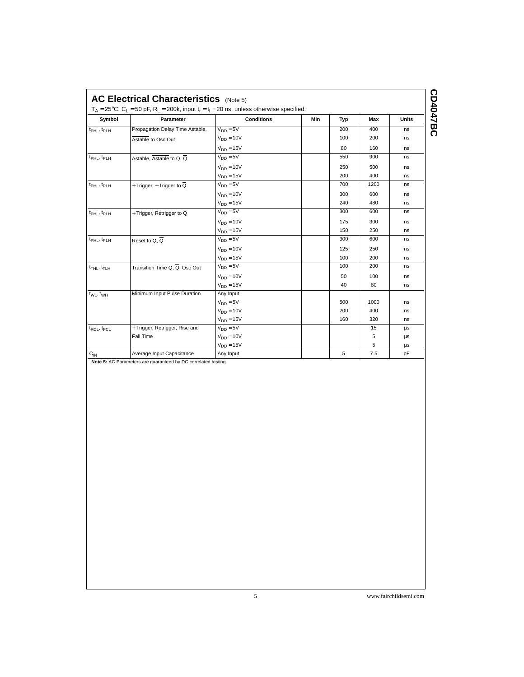| ns<br>ns<br>ns<br>ns<br>ns<br>ns<br>ns<br>ns<br>ns<br>ns<br>ns |
|----------------------------------------------------------------|
|                                                                |
|                                                                |
|                                                                |
|                                                                |
|                                                                |
|                                                                |
|                                                                |
|                                                                |
|                                                                |
|                                                                |
|                                                                |
| ns                                                             |
| ns                                                             |
| ns                                                             |
| ns                                                             |
| ns                                                             |
| ns                                                             |
| ns                                                             |
|                                                                |
| ns                                                             |
| ns                                                             |
| ns                                                             |
| μs                                                             |
| μs                                                             |
| μs                                                             |
| pF                                                             |
|                                                                |

CD4047BC **CD4047BC**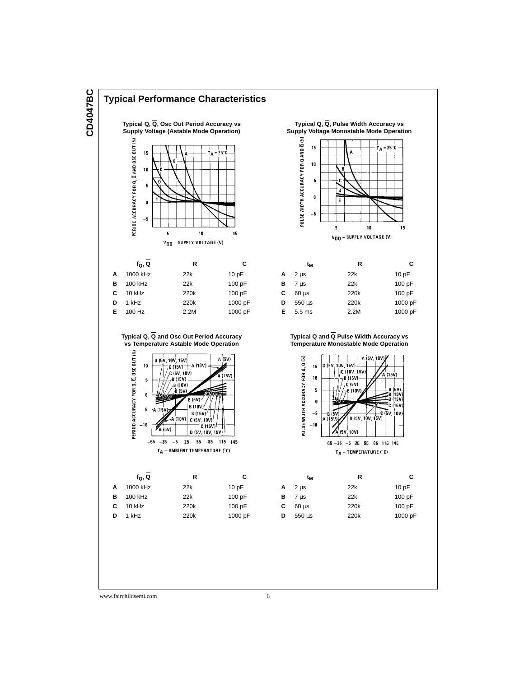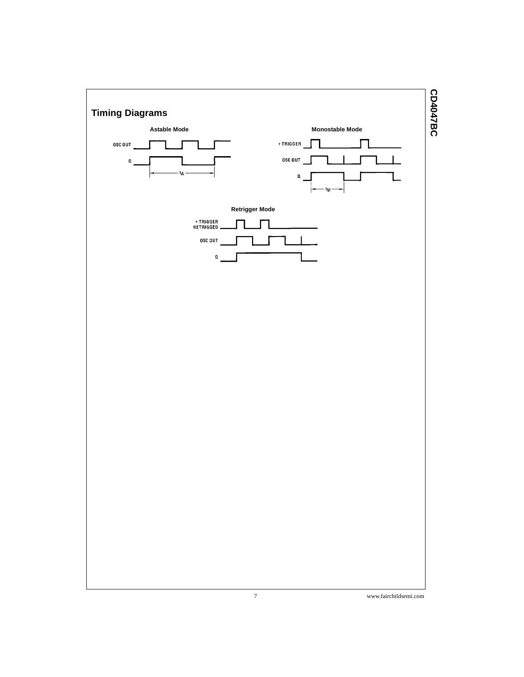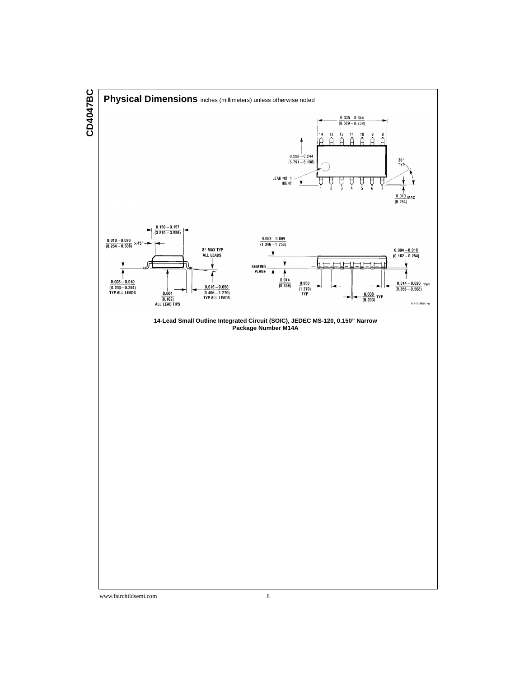